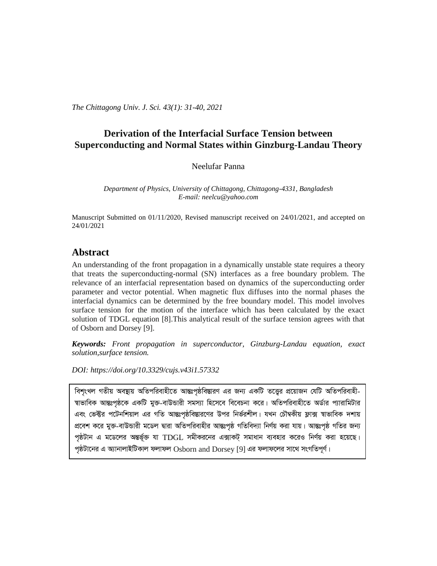*The Chittagong Univ. J. Sci. 43(1): 31-40, 2021*

# **Derivation of the Interfacial Surface Tension between Superconducting and Normal States within Ginzburg-Landau Theory**

Neelufar Panna

*Department of Physics, University of Chittagong, Chittagong-4331, Bangladesh E-mail: neelcu@yahoo.com*

Manuscript Submitted on 01/11/2020, Revised manuscript received on 24/01/2021, and accepted on 24/01/2021

### **Abstract**

An understanding of the front propagation in a dynamically unstable state requires a theory that treats the superconducting-normal (SN) interfaces as a free boundary problem. The relevance of an interfacial representation based on dynamics of the superconducting order parameter and vector potential. When magnetic flux diffuses into the normal phases the interfacial dynamics can be determined by the free boundary model. This model involves surface tension for the motion of the interface which has been calculated by the exact solution of TDGL equation [8].This analytical result of the surface tension agrees with that of Osborn and Dorsey [9].

*Keywords: Front propagation in superconductor, Ginzburg-Landau equation, exact solution,surface tension.*

*DOI: [https://doi.org/10.3329/cujs.v43i1.57332](https://doi.org/10.3329/cujs.v43i1.57330)*

বিশংখল গতীয় অবষ্টায় অতিপরিবাহীতে আন্তঃপষ্ঠবিম্ভারণ এর জন্য একটি তত্তের প্রয়োজন যেটি অতিপরিবাহী-<sup>ন্</sup>যাভাবিক আন্তঃপৃষ্ঠকে একটি মুক্ত-বাউন্ডারী সমস্যা হিসেবে বিবেচনা করে। অতিপরিবাহীতে অর্ডার প্যারামিটার এবং ভেক্টর পটেনশিয়াল এর গতি আন্তঃপৃষ্ঠবিস্তারণের উপর নির্ভরশীল। যখন চৌম্বকীয় ফ্লাক্স স্বাভাবিক দশায় প্রবেশ করে মুক্ত-বাউন্ডারী মডেল দ্বারা অতিপরিবাহীর আন্তঃপৃষ্ঠ গতিবিদ্যা নির্ণয় করা যায়। আন্তঃপৃষ্ঠ গতির জন্য পৃষ্ঠটান এ মডেলের অন্তর্ভূক্ত যা  $\rm{TDGL}$  সমীকরনের এক্সাকট্ সমাধান ব্যবহার করেও নির্ণয় করা হয়েছে। পৃষ্ঠটানের এ অ্যানালাইটিকাল ফলাফল  $\rm{Osborn}$  and  $\rm{Dorsey}$  [9] এর ফলাফলের সাথে সংগতিপূর্ণ।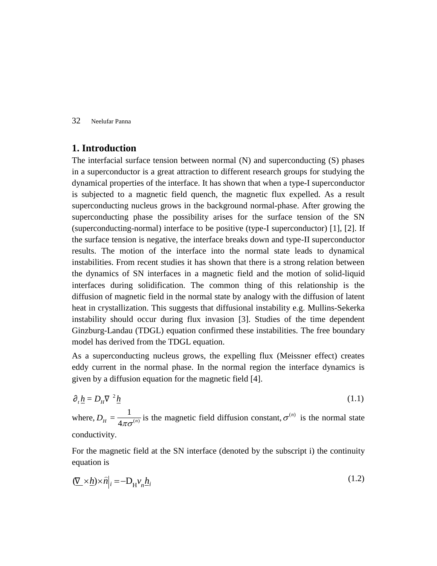## **1. Introduction**

The interfacial surface tension between normal (N) and superconducting (S) phases in a superconductor is a great attraction to different research groups for studying the dynamical properties of the interface. It has shown that when a type-I superconductor is subjected to a magnetic field quench, the magnetic flux expelled. As a result superconducting nucleus grows in the background normal-phase. After growing the superconducting phase the possibility arises for the surface tension of the SN (superconducting-normal) interface to be positive (type-I superconductor) [1], [2]. If the surface tension is negative, the interface breaks down and type-II superconductor results. The motion of the interface into the normal state leads to dynamical instabilities. From recent studies it has shown that there is a strong relation between the dynamics of SN interfaces in a magnetic field and the motion of solid-liquid interfaces during solidification. The common thing of this relationship is the diffusion of magnetic field in the normal state by analogy with the diffusion of latent heat in crystallization. This suggests that diffusional instability e.g. Mullins-Sekerka instability should occur during flux invasion [3]. Studies of the time dependent Ginzburg-Landau (TDGL) equation confirmed these instabilities. The free boundary model has derived from the TDGL equation.

As a superconducting nucleus grows, the expelling flux (Meissner effect) creates eddy current in the normal phase. In the normal region the interface dynamics is given by a diffusion equation for the magnetic field [4].

$$
\partial_t \underline{h} = D_H \nabla^2 \underline{h} \tag{1.1}
$$

where,  $D_H = \frac{1}{4\pi\sigma^{(n)}}$ 1  $D_H = \frac{1}{4\pi\sigma^{(n)}}$  is the magnetic field diffusion constant,  $\sigma^{(n)}$  is the normal state conductivity.

For the magnetic field at the SN interface (denoted by the subscript i) the continuity equation is

$$
\left(\underline{\nabla}\times\underline{h}\right)\times\widehat{n}\Big|_{i} = -D_{\mathrm{H}}\mathcal{V}_{n}\underline{h}_{i} \tag{1.2}
$$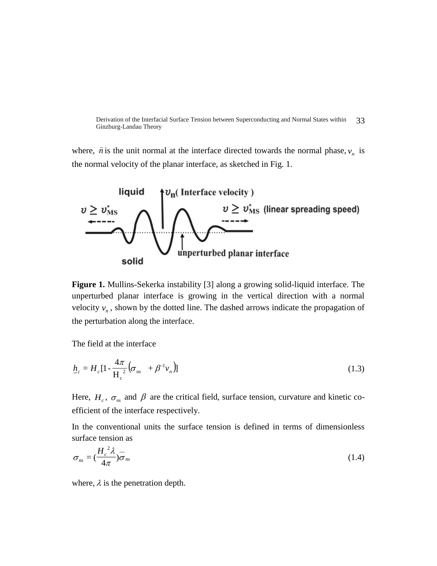Derivation of the Interfacial Surface Tension between Superconducting and Normal States within Ginzburg-Landau Theory 33

where,  $\hat{n}$  is the unit normal at the interface directed towards the normal phase,  $v_n$  is the normal velocity of the planar interface, as sketched in Fig. 1.



**Figure 1.** Mullins-Sekerka instability [3] along a growing solid-liquid interface. The unperturbed planar interface is growing in the vertical direction with a normal velocity  $v_n$ , shown by the dotted line. The dashed arrows indicate the propagation of the perturbation along the interface.

The field at the interface

$$
\underline{h}_i = H_c \left[ 1 - \frac{4\pi}{H_c^2} \left( \sigma_{ns} + \beta^{-1} v_n \right) \right]
$$
\n(1.3)

Here,  $H_c$ ,  $\sigma_{ns}$  and  $\beta$  are the critical field, surface tension, curvature and kinetic coefficient of the interface respectively.

In the conventional units the surface tension is defined in terms of dimensionless surface tension as

$$
\sigma_{ns} = \left(\frac{H_c^2 \lambda}{4\pi}\right) \overline{\sigma}_{ns} \tag{1.4}
$$

where,  $\lambda$  is the penetration depth.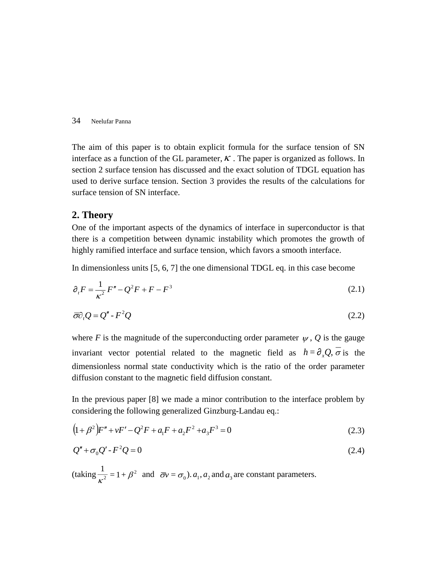The aim of this paper is to obtain explicit formula for the surface tension of SN interface as a function of the GL parameter,  $\kappa$ . The paper is organized as follows. In section 2 surface tension has discussed and the exact solution of TDGL equation has used to derive surface tension. Section 3 provides the results of the calculations for surface tension of SN interface.

## **2. Theory**

 $\lambda$ 

One of the important aspects of the dynamics of interface in superconductor is that there is a competition between dynamic instability which promotes the growth of highly ramified interface and surface tension, which favors a smooth interface.

In dimensionless units [5, 6, 7] the one dimensional TDGL eq. in this case become

$$
\partial_{t}F = \frac{1}{\kappa^{2}}F'' - Q^{2}F + F - F^{3}
$$
\n(2.1)

$$
\overline{\sigma}\partial_t Q = Q'' - F^2 Q \tag{2.2}
$$

where *F* is the magnitude of the superconducting order parameter  $\psi$ , *Q* is the gauge invariant vector potential related to the magnetic field as  $h = \partial_x Q$ ,  $\sigma$  is the dimensionless normal state conductivity which is the ratio of the order parameter diffusion constant to the magnetic field diffusion constant.

In the previous paper [8] we made a minor contribution to the interface problem by considering the following generalized Ginzburg-Landau eq.:

$$
(1+\beta^2)F'' + vF' - Q^2F + a_1F + a_2F^2 + a_3F^3 = 0
$$
\n(2.3)

$$
Q'' + \sigma_0 Q' - F^2 Q = 0 \tag{2.4}
$$

 $\text{ (taking } \frac{1}{2} = 1 + \beta^2$  $\frac{1}{\kappa^2}$  = 1 +  $\beta^2$  and  $\overline{\sigma}v = \sigma_0$ ).  $a_1, a_2$  and  $a_3$  are constant parameters.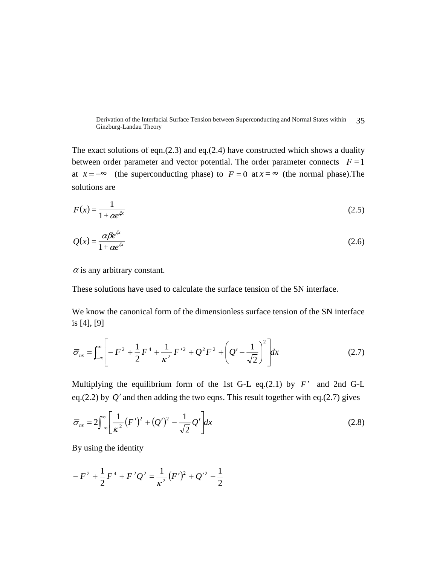Derivation of the Interfacial Surface Tension between Superconducting and Normal States within 35 Ginzburg-Landau Theory

The exact solutions of eqn. $(2.3)$  and eq. $(2.4)$  have constructed which shows a duality between order parameter and vector potential. The order parameter connects  $F = 1$ at  $x = -\infty$  (the superconducting phase) to  $F = 0$  at  $x = \infty$  (the normal phase). The solutions are

$$
F(x) = \frac{1}{1 + \alpha e^{\xi x}}\tag{2.5}
$$

$$
Q(x) = \frac{\alpha \beta e^{\xi x}}{1 + \alpha e^{\xi x}}
$$
 (2.6)

 $\alpha$  is any arbitrary constant.

These solutions have used to calculate the surface tension of the SN interface.

We know the canonical form of the dimensionless surface tension of the SN interface is [4], [9]

$$
\overline{\sigma}_{ns} = \int_{-\infty}^{\infty} \left[ -F^2 + \frac{1}{2} F^4 + \frac{1}{\kappa^2} F'^2 + Q^2 F^2 + \left( Q' - \frac{1}{\sqrt{2}} \right)^2 \right] dx \tag{2.7}
$$

Multiplying the equilibrium form of the 1st G-L eq. $(2.1)$  by  $F'$  and 2nd G-L eq.(2.2) by  $Q'$  and then adding the two eqns. This result together with eq.(2.7) gives

$$
\overline{\sigma}_{ns} = 2 \int_{-\infty}^{\infty} \left[ \frac{1}{\kappa^2} (F')^2 + (Q')^2 - \frac{1}{\sqrt{2}} Q' \right] dx \tag{2.8}
$$

By using the identity

$$
-F^2 + \frac{1}{2}F^4 + F^2Q^2 = \frac{1}{\kappa^2}(F')^2 + Q'^2 - \frac{1}{2}
$$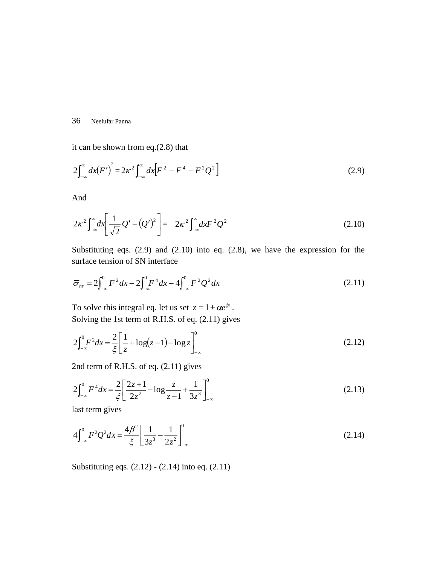it can be shown from eq.(2.8) that

$$
2\int_{-\infty}^{\infty} dx(F')^{2} = 2\kappa^{2} \int_{-\infty}^{\infty} dx[F^{2} - F^{4} - F^{2}Q^{2}]
$$
\n(2.9)

And

$$
2\kappa^2 \int_{-\infty}^{\infty} dx \left[ \frac{1}{\sqrt{2}} Q' - (Q')^2 \right] = 2\kappa^2 \int_{-\infty}^{\infty} dx F^2 Q^2 \tag{2.10}
$$

Substituting eqs. (2.9) and (2.10) into eq. (2.8), we have the expression for the surface tension of SN interface

$$
\overline{\sigma}_{ns} = 2 \int_{-\infty}^{0} F^2 dx - 2 \int_{-\infty}^{0} F^4 dx - 4 \int_{-\infty}^{0} F^2 Q^2 dx \tag{2.11}
$$

To solve this integral eq. let us set  $z = 1 + \alpha e^{\xi x}$ . Solving the 1st term of R.H.S. of eq. (2.11) gives

$$
2\int_{-\infty}^{0} F^2 dx = \frac{2}{\xi} \left[ \frac{1}{z} + \log(z - 1) - \log z \right]_{-\infty}^{0}
$$
 (2.12)

2nd term of R.H.S. of eq. (2.11) gives

$$
2\int_{-\infty}^{0} F^4 dx = \frac{2}{\xi} \left[ \frac{2z+1}{2z^2} - \log \frac{z}{z-1} + \frac{1}{3z^3} \right]_{-\infty}^{0}
$$
(2.13)

last term gives

$$
4\int_{-\infty}^{0} F^2 Q^2 dx = \frac{4\beta^2}{\xi} \left[ \frac{1}{3z^3} - \frac{1}{2z^2} \right]_{-\infty}^{0} \tag{2.14}
$$

Substituting eqs. (2.12) - (2.14) into eq. (2.11)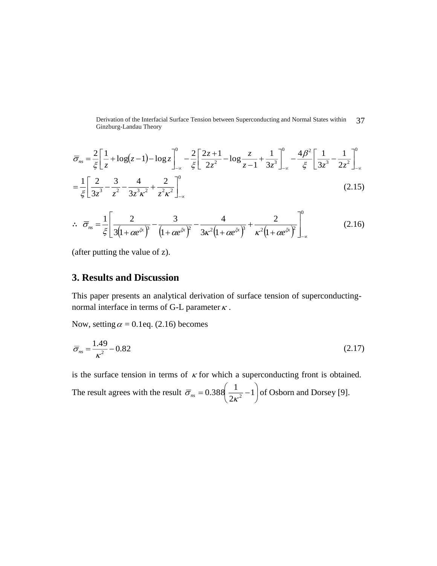Derivation of the Interfacial Surface Tension between Superconducting and Normal States within 37 Ginzburg-Landau Theory

$$
\overline{\sigma}_{ns} = \frac{2}{\xi} \left[ \frac{1}{z} + \log(z - 1) - \log z \right]_{-\infty}^{0} - \frac{2}{\xi} \left[ \frac{2z + 1}{2z^{2}} - \log \frac{z}{z - 1} + \frac{1}{3z^{3}} \right]_{-\infty}^{0} - \frac{4\beta^{2}}{\xi} \left[ \frac{1}{3z^{3}} - \frac{1}{2z^{2}} \right]_{-\infty}^{0}
$$
\n
$$
= \frac{1}{\xi} \left[ \frac{2}{3z^{3}} - \frac{3}{z^{2}} - \frac{4}{3z^{3}\kappa^{2}} + \frac{2}{z^{2}\kappa^{2}} \right]_{-\infty}^{0}
$$
\n(2.15)

$$
\therefore \overline{\sigma}_{ns} = \frac{1}{\xi} \left[ \frac{2}{3\left(1 + \alpha e^{\xi x}\right)^3} - \frac{3}{\left(1 + \alpha e^{\xi x}\right)^2} - \frac{4}{3\kappa^2 \left(1 + \alpha e^{\xi x}\right)^3} + \frac{2}{\kappa^2 \left(1 + \alpha e^{\xi x}\right)^2} \right]_{-\infty}^0 \tag{2.16}
$$

(after putting the value of z).

# **3. Results and Discussion**

This paper presents an analytical derivation of surface tension of superconductingnormal interface in terms of G-L parameter  $\kappa$ .

Now, setting  $\alpha = 0.1$  eq. (2.16) becomes

$$
\overline{\sigma}_{ns} = \frac{1.49}{\kappa^2} - 0.82\tag{2.17}
$$

is the surface tension in terms of  $\kappa$  for which a superconducting front is obtained.

The result agrees with the result l J  $\left(\frac{1}{2},-1\right)$ l  $= 0.388 \left( \frac{1}{1} - 1 \right)$ 2  $\overline{\sigma}_{ns} = 0.388 \left( \frac{1}{2\kappa^2} - 1 \right)$  of Osborn and Dorsey [9].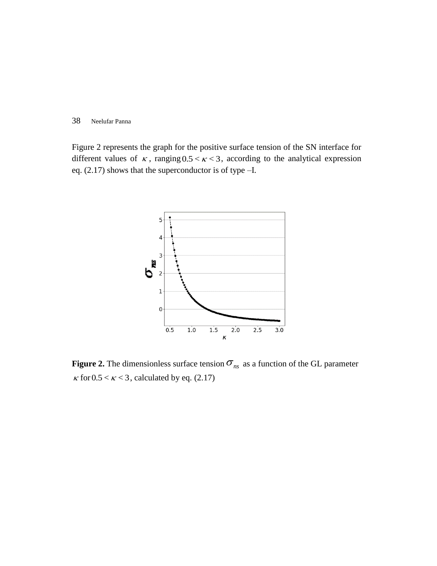Figure 2 represents the graph for the positive surface tension of the SN interface for different values of  $\kappa$ , ranging  $0.5 < \kappa < 3$ , according to the analytical expression eq. (2.17) shows that the superconductor is of type –I.



**Figure 2.** The dimensionless surface tension  $\sigma_{ns}$  as a function of the GL parameter  $\kappa$  for 0.5 <  $\kappa$  < 3, calculated by eq. (2.17)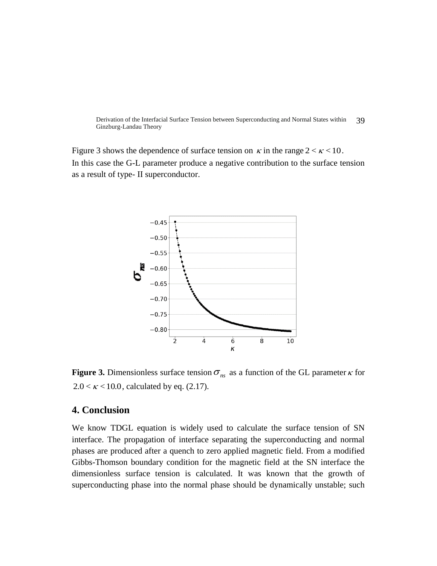Derivation of the Interfacial Surface Tension between Superconducting and Normal States within Ginzburg-Landau Theory 39

Figure 3 shows the dependence of surface tension on  $\kappa$  in the range  $2 < \kappa < 10$ . In this case the G-L parameter produce a negative contribution to the surface tension as a result of type- II superconductor.



**Figure 3.** Dimensionless surface tension  $\sigma_{ns}$  as a function of the GL parameter  $\kappa$  for  $2.0 < \kappa < 10.0$ , calculated by eq. (2.17).

# **4. Conclusion**

We know TDGL equation is widely used to calculate the surface tension of SN interface. The propagation of interface separating the superconducting and normal phases are produced after a quench to zero applied magnetic field. From a modified Gibbs-Thomson boundary condition for the magnetic field at the SN interface the dimensionless surface tension is calculated. It was known that the growth of superconducting phase into the normal phase should be dynamically unstable; such